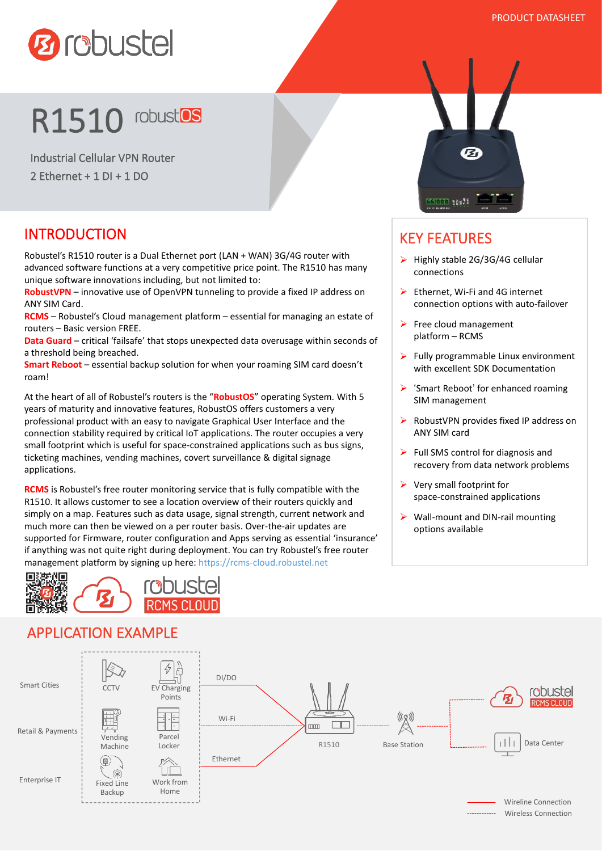

# **R1510** robust<sup>os</sup>

Industrial Cellular VPN Router 2 Ethernet + 1 DI + 1 DO

#### INTRODUCTION

Robustel's R1510 router is a Dual Ethernet port (LAN + WAN) 3G/4G router with advanced software functions at a very competitive price point. The R1510 has many unique software innovations including, but not limited to:

**RobustVPN** – innovative use of OpenVPN tunneling to provide a fixed IP address on ANY SIM Card.

**RCMS** – Robustel's Cloud management platform – essential for managing an estate of routers – Basic version FREE.

**Data Guard** – critical 'failsafe' that stops unexpected data overusage within seconds of a threshold being breached.

**Smart Reboot** – essential backup solution for when your roaming SIM card doesn't roam!

At the heart of all of Robustel's routers is the "**RobustOS**" operating System. With 5 years of maturity and innovative features, RobustOS offers customers a very professional product with an easy to navigate Graphical User Interface and the connection stability required by critical IoT applications. The router occupies a very small footprint which is useful for space-constrained applications such as bus signs, ticketing machines, vending machines, covert surveillance & digital signage applications.

**RCMS** is Robustel's free router monitoring service that is fully compatible with the R1510. It allows customer to see a location overview of their routers quickly and simply on a map. Features such as data usage, signal strength, current network and much more can then be viewed on a per router basis. Over-the-air updates are supported for Firmware, router configuration and Apps serving as essential 'insurance' if anything was not quite right during deployment. You can try Robustel's free router management platform by signing up here: https://rcms-cloud.robustel.net



## APPLICATION EXAMPLE



#### KEY FEATURES

- $\triangleright$  Highly stable 2G/3G/4G cellular connections
- Ethernet, Wi-Fi and 4G internet connection options with auto-failover
- $\triangleright$  Free cloud management platform – RCMS
- $\triangleright$  Fully programmable Linux environment with excellent SDK Documentation
- 'Smart Reboot' for enhanced roaming SIM management
- RobustVPN provides fixed IP address on ANY SIM card
- $\triangleright$  Full SMS control for diagnosis and recovery from data network problems
- Very small footprint for space-constrained applications
- $\triangleright$  Wall-mount and DIN-rail mounting options available